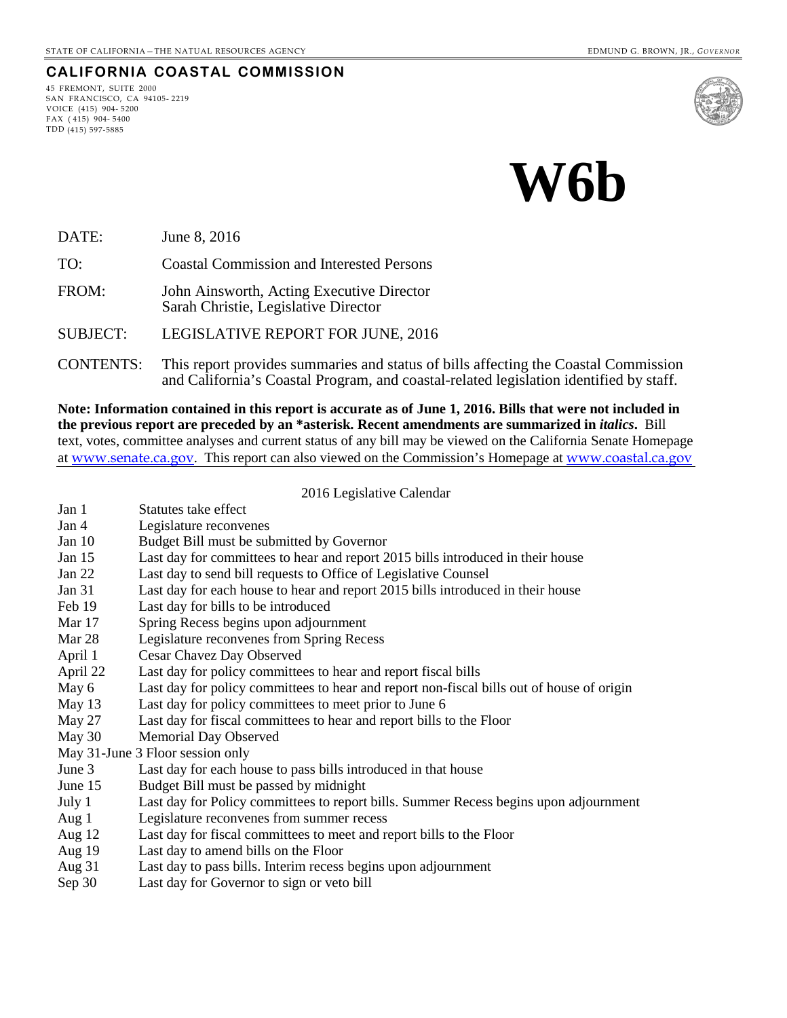#### **CALIFORNIA COASTAL COMMISSION**

45 FREMONT, SUITE 2000 SAN FRANCISCO, CA 94105- 2219 VOICE (415) 904- 5200 FAX ( 415) 904- 5400 TDD (415) 597-5885





DATE: June 8, 2016

TO: Coastal Commission and Interested Persons

FROM: John Ainsworth, Acting Executive Director Sarah Christie, Legislative Director

SUBJECT: LEGISLATIVE REPORT FOR JUNE, 2016

CONTENTS: This report provides summaries and status of bills affecting the Coastal Commission and California's Coastal Program, and coastal-related legislation identified by staff.

**Note: Information contained in this report is accurate as of June 1, 2016. Bills that were not included in the previous report are preceded by an \*asterisk. Recent amendments are summarized in** *italics***.** Bill text, votes, committee analyses and current status of any bill may be viewed on the California Senate Homepage at [www.senate.ca.gov](http://www.senate.ca.gov/). This report can also viewed on the Commission's Homepage at [www.coastal.ca.gov](http://www.coastal.ca.gov/)

2016 Legislative Calendar

| Jan 1 |  |  | Statutes take effect |  |
|-------|--|--|----------------------|--|
|       |  |  |                      |  |

- Jan 4 Legislature reconvenes
- Jan 10 Budget Bill must be submitted by Governor
- Jan 15 Last day for committees to hear and report 2015 bills introduced in their house
- Jan 22 Last day to send bill requests to Office of Legislative Counsel
- Jan 31 Last day for each house to hear and report 2015 bills introduced in their house
- Feb 19 Last day for bills to be introduced
- Mar 17 Spring Recess begins upon adjournment
- Mar 28 Legislature reconvenes from Spring Recess
- April 1 Cesar Chavez Day Observed
- April 22 Last day for policy committees to hear and report fiscal bills
- May 6 Last day for policy committees to hear and report non-fiscal bills out of house of origin
- May 13 Last day for policy committees to meet prior to June 6
- May 27 Last day for fiscal committees to hear and report bills to the Floor
- May 30 Memorial Day Observed
- May 31-June 3 Floor session only
- June 3 Last day for each house to pass bills introduced in that house
- June 15 Budget Bill must be passed by midnight
- July 1 Last day for Policy committees to report bills. Summer Recess begins upon adjournment
- Aug 1 Legislature reconvenes from summer recess
- Aug 12 Last day for fiscal committees to meet and report bills to the Floor
- Aug 19 Last day to amend bills on the Floor
- Aug 31 Last day to pass bills. Interim recess begins upon adjournment
- Sep 30 Last day for Governor to sign or veto bill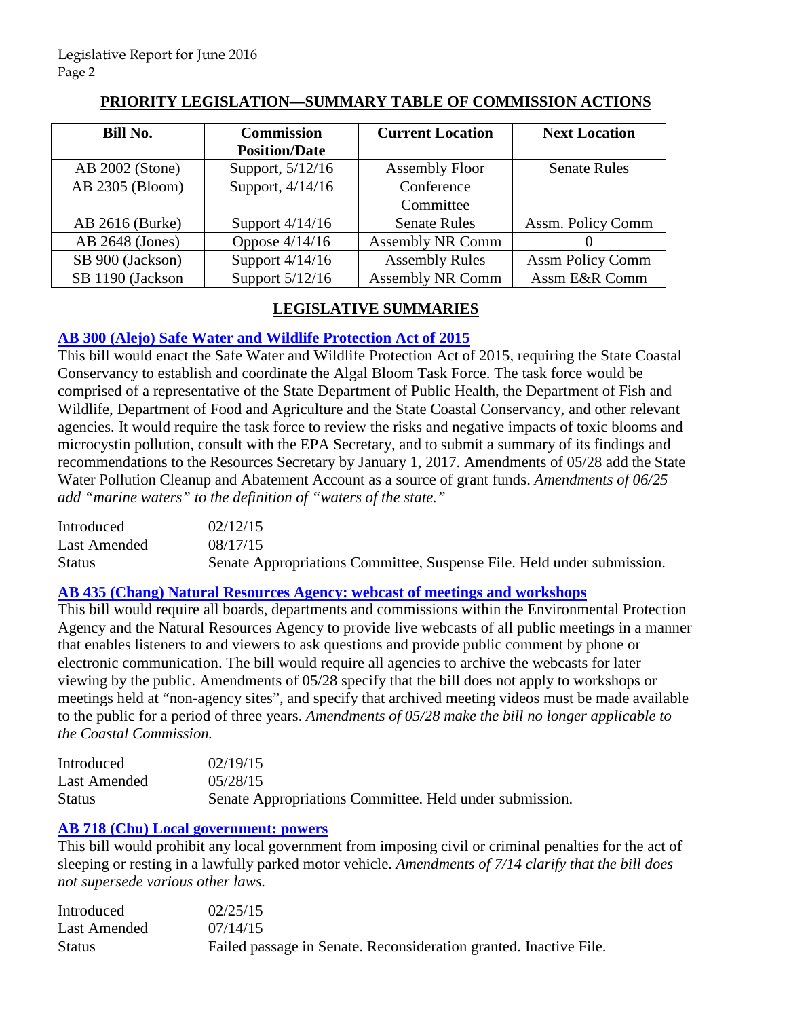| Bill No.         | <b>Commission</b>    | <b>Current Location</b> | <b>Next Location</b>    |
|------------------|----------------------|-------------------------|-------------------------|
|                  | <b>Position/Date</b> |                         |                         |
| AB 2002 (Stone)  | Support, 5/12/16     | <b>Assembly Floor</b>   | <b>Senate Rules</b>     |
| AB 2305 (Bloom)  | Support, 4/14/16     | Conference              |                         |
|                  |                      | Committee               |                         |
| AB 2616 (Burke)  | Support $4/14/16$    | <b>Senate Rules</b>     | Assm. Policy Comm       |
| AB 2648 (Jones)  | Oppose $4/14/16$     | <b>Assembly NR Comm</b> |                         |
| SB 900 (Jackson) | Support $4/14/16$    | <b>Assembly Rules</b>   | <b>Assm Policy Comm</b> |
| SB 1190 (Jackson | Support 5/12/16      | <b>Assembly NR Comm</b> | Assm E&R Comm           |

## **PRIORITY LEGISLATION—SUMMARY TABLE OF COMMISSION ACTIONS**

# **LEGISLATIVE SUMMARIES**

## **[AB 300 \(Alejo\) Safe Water and Wildlife Protection Act of 2015](http://www.leginfo.ca.gov/pub/15-16/bill/asm/ab_0251-0300/ab_300_bill_20150817_amended_sen_v93.htm)**

This bill would enact the Safe Water and Wildlife Protection Act of 2015, requiring the State Coastal Conservancy to establish and coordinate the Algal Bloom Task Force. The task force would be comprised of a representative of the State Department of Public Health, the Department of Fish and Wildlife, Department of Food and Agriculture and the State Coastal Conservancy, and other relevant agencies. It would require the task force to review the risks and negative impacts of toxic blooms and microcystin pollution, consult with the EPA Secretary, and to submit a summary of its findings and recommendations to the Resources Secretary by January 1, 2017. Amendments of 05/28 add the State Water Pollution Cleanup and Abatement Account as a source of grant funds. *Amendments of 06/25 add "marine waters" to the definition of "waters of the state."*

| Introduced    | 02/12/15                                                               |
|---------------|------------------------------------------------------------------------|
| Last Amended  | 08/17/15                                                               |
| <b>Status</b> | Senate Appropriations Committee, Suspense File. Held under submission. |

## **[AB 435 \(Chang\) Natural Resources Agency: webcast of meetings and workshops](http://www.leginfo.ca.gov/pub/15-16/bill/asm/ab_0401-0450/ab_435_bill_20150818_amended_sen_v95.htm)**

This bill would require all boards, departments and commissions within the Environmental Protection Agency and the Natural Resources Agency to provide live webcasts of all public meetings in a manner that enables listeners to and viewers to ask questions and provide public comment by phone or electronic communication. The bill would require all agencies to archive the webcasts for later viewing by the public. Amendments of 05/28 specify that the bill does not apply to workshops or meetings held at "non-agency sites", and specify that archived meeting videos must be made available to the public for a period of three years. *Amendments of 05/28 make the bill no longer applicable to the Coastal Commission.* 

| Introduced    | 02/19/15                                                |
|---------------|---------------------------------------------------------|
| Last Amended  | 05/28/15                                                |
| <b>Status</b> | Senate Appropriations Committee. Held under submission. |

## **[AB 718 \(Chu\) Local government: powers](http://www.leginfo.ca.gov/pub/15-16/bill/asm/ab_0701-0750/ab_718_bill_20150714_amended_sen_v95.htm)**

This bill would prohibit any local government from imposing civil or criminal penalties for the act of sleeping or resting in a lawfully parked motor vehicle. *Amendments of 7/14 clarify that the bill does not supersede various other laws.* 

| Introduced    | 02/25/15                                                          |
|---------------|-------------------------------------------------------------------|
| Last Amended  | 07/14/15                                                          |
| <b>Status</b> | Failed passage in Senate. Reconsideration granted. Inactive File. |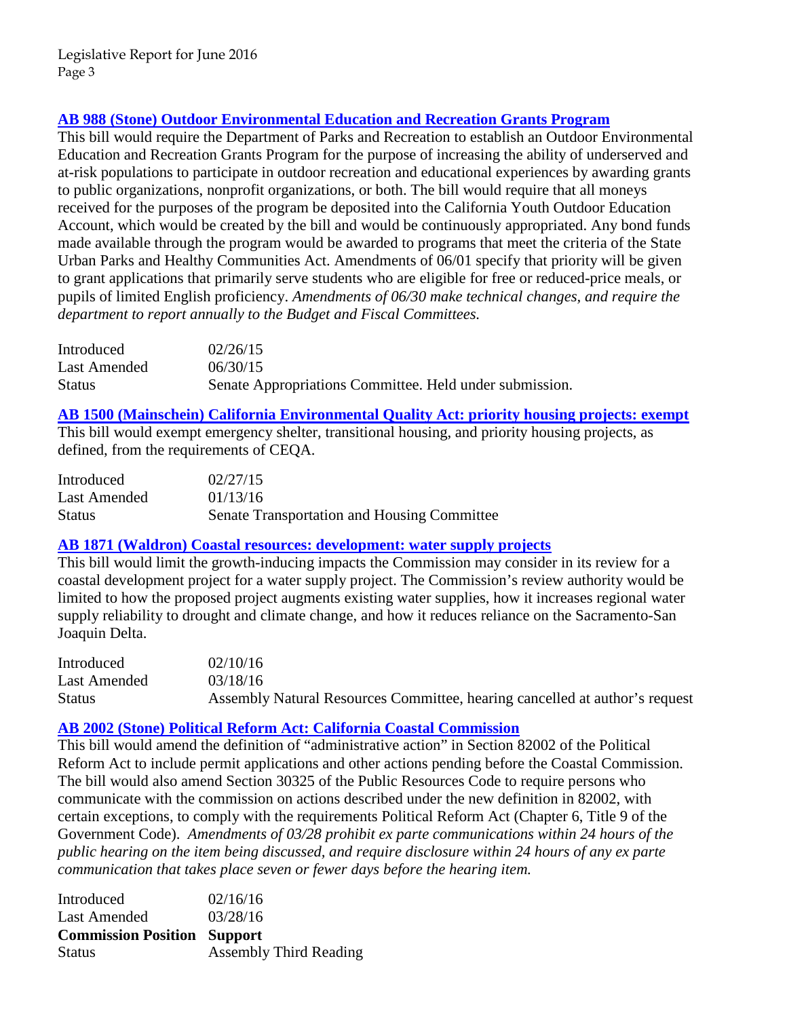# **[AB 988 \(Stone\) Outdoor Environmental Education and Recreation Grants Program](http://www.leginfo.ca.gov/pub/15-16/bill/asm/ab_0951-1000/ab_988_bill_20150630_amended_sen_v96.htm)**

This bill would require the Department of Parks and Recreation to establish an Outdoor Environmental Education and Recreation Grants Program for the purpose of increasing the ability of underserved and at-risk populations to participate in outdoor recreation and educational experiences by awarding grants to public organizations, nonprofit organizations, or both. The bill would require that all moneys received for the purposes of the program be deposited into the California Youth Outdoor Education Account, which would be created by the bill and would be continuously appropriated. Any bond funds made available through the program would be awarded to programs that meet the criteria of the State Urban Parks and Healthy Communities Act. Amendments of 06/01 specify that priority will be given to grant applications that primarily serve students who are eligible for free or reduced-price meals, or pupils of limited English proficiency. *Amendments of 06/30 make technical changes, and require the department to report annually to the Budget and Fiscal Committees.* 

| Introduced    | 02/26/15                                                |
|---------------|---------------------------------------------------------|
| Last Amended  | 06/30/15                                                |
| <b>Status</b> | Senate Appropriations Committee. Held under submission. |

**[AB 1500 \(Mainschein\) California Environmental Quality Act: priority housing projects:](http://www.leginfo.ca.gov/pub/15-16/bill/asm/ab_1451-1500/ab_1500_bill_20160113_amended_asm_v96.htm) exempt** This bill would exempt emergency shelter, transitional housing, and priority housing projects, as defined, from the requirements of CEQA.

| Introduced    | 02/27/15                                    |
|---------------|---------------------------------------------|
| Last Amended  | 01/13/16                                    |
| <b>Status</b> | Senate Transportation and Housing Committee |

### **[AB 1871 \(Waldron\) Coastal resources: development: water supply projects](http://www.leginfo.ca.gov/pub/15-16/bill/asm/ab_1851-1900/ab_1871_bill_20160318_amended_asm_v98.htm)**

This bill would limit the growth-inducing impacts the Commission may consider in its review for a coastal development project for a water supply project. The Commission's review authority would be limited to how the proposed project augments existing water supplies, how it increases regional water supply reliability to drought and climate change, and how it reduces reliance on the Sacramento-San Joaquin Delta.

| Introduced    | 02/10/16                                                                    |
|---------------|-----------------------------------------------------------------------------|
| Last Amended  | 03/18/16                                                                    |
| <b>Status</b> | Assembly Natural Resources Committee, hearing cancelled at author's request |

## **[AB 2002 \(Stone\) Political Reform Act: California Coastal Commission](http://www.leginfo.ca.gov/pub/15-16/bill/asm/ab_2001-2050/ab_2002_bill_20160328_amended_asm_v98.htm)**

This bill would amend the definition of "administrative action" in Section 82002 of the Political Reform Act to include permit applications and other actions pending before the Coastal Commission. The bill would also amend Section 30325 of the Public Resources Code to require persons who communicate with the commission on actions described under the new definition in 82002, with certain exceptions, to comply with the requirements Political Reform Act (Chapter 6, Title 9 of the Government Code). *Amendments of 03/28 prohibit ex parte communications within 24 hours of the public hearing on the item being discussed, and require disclosure within 24 hours of any ex parte communication that takes place seven or fewer days before the hearing item.*

| Introduced                         | 02/16/16 |
|------------------------------------|----------|
| Last Amended                       | 03/28/16 |
|                                    |          |
| <b>Commission Position Support</b> |          |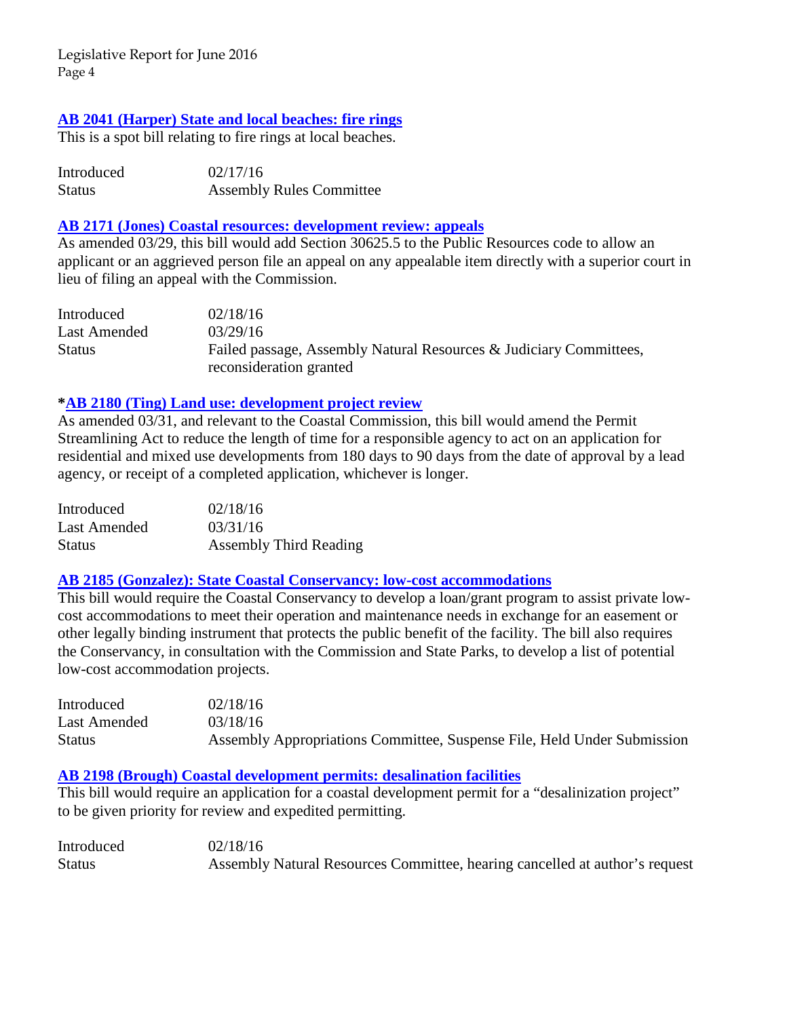### **[AB 2041 \(Harper\) State and local beaches: fire rings](http://www.leginfo.ca.gov/pub/15-16/bill/asm/ab_2001-2050/ab_2041_bill_20160217_introduced.htm)**

This is a spot bill relating to fire rings at local beaches.

| Introduced    | 02/17/16                        |
|---------------|---------------------------------|
| <b>Status</b> | <b>Assembly Rules Committee</b> |

#### **[AB 2171 \(Jones\) Coastal resources: development review: appeals](http://www.leginfo.ca.gov/pub/15-16/bill/asm/ab_2151-2200/ab_2171_bill_20160329_amended_asm_v98.pdf)**

As amended 03/29, this bill would add Section 30625.5 to the Public Resources code to allow an applicant or an aggrieved person file an appeal on any appealable item directly with a superior court in lieu of filing an appeal with the Commission.

| Introduced    | 02/18/16                                                           |
|---------------|--------------------------------------------------------------------|
| Last Amended  | 03/29/16                                                           |
| <b>Status</b> | Failed passage, Assembly Natural Resources & Judiciary Committees, |
|               | reconsideration granted                                            |

#### **[\\*AB 2180 \(Ting\) Land use: development project review](http://www.leginfo.ca.gov/pub/15-16/bill/asm/ab_2151-2200/ab_2180_bill_20160331_amended_asm_v98.htm)**

As amended 03/31, and relevant to the Coastal Commission, this bill would amend the Permit Streamlining Act to reduce the length of time for a responsible agency to act on an application for residential and mixed use developments from 180 days to 90 days from the date of approval by a lead agency, or receipt of a completed application, whichever is longer.

| Introduced    | 02/18/16                      |
|---------------|-------------------------------|
| Last Amended  | 03/31/16                      |
| <b>Status</b> | <b>Assembly Third Reading</b> |

#### **[AB 2185 \(Gonzalez\): State Coastal Conservancy: low-cost accommodations](http://www.leginfo.ca.gov/pub/15-16/bill/asm/ab_2151-2200/ab_2185_bill_20160318_amended_asm_v98.htm)**

This bill would require the Coastal Conservancy to develop a loan/grant program to assist private lowcost accommodations to meet their operation and maintenance needs in exchange for an easement or other legally binding instrument that protects the public benefit of the facility. The bill also requires the Conservancy, in consultation with the Commission and State Parks, to develop a list of potential low-cost accommodation projects.

| Introduced    | 02/18/16                                                                |
|---------------|-------------------------------------------------------------------------|
| Last Amended  | 03/18/16                                                                |
| <b>Status</b> | Assembly Appropriations Committee, Suspense File, Held Under Submission |

#### **[AB 2198 \(Brough\) Coastal development permits: desalination facilities](http://www.leginfo.ca.gov/pub/15-16/bill/asm/ab_2151-2200/ab_2198_bill_20160218_introduced.pdf)**

This bill would require an application for a coastal development permit for a "desalinization project" to be given priority for review and expedited permitting.

| Introduced    | 02/18/16                                                                    |
|---------------|-----------------------------------------------------------------------------|
| <b>Status</b> | Assembly Natural Resources Committee, hearing cancelled at author's request |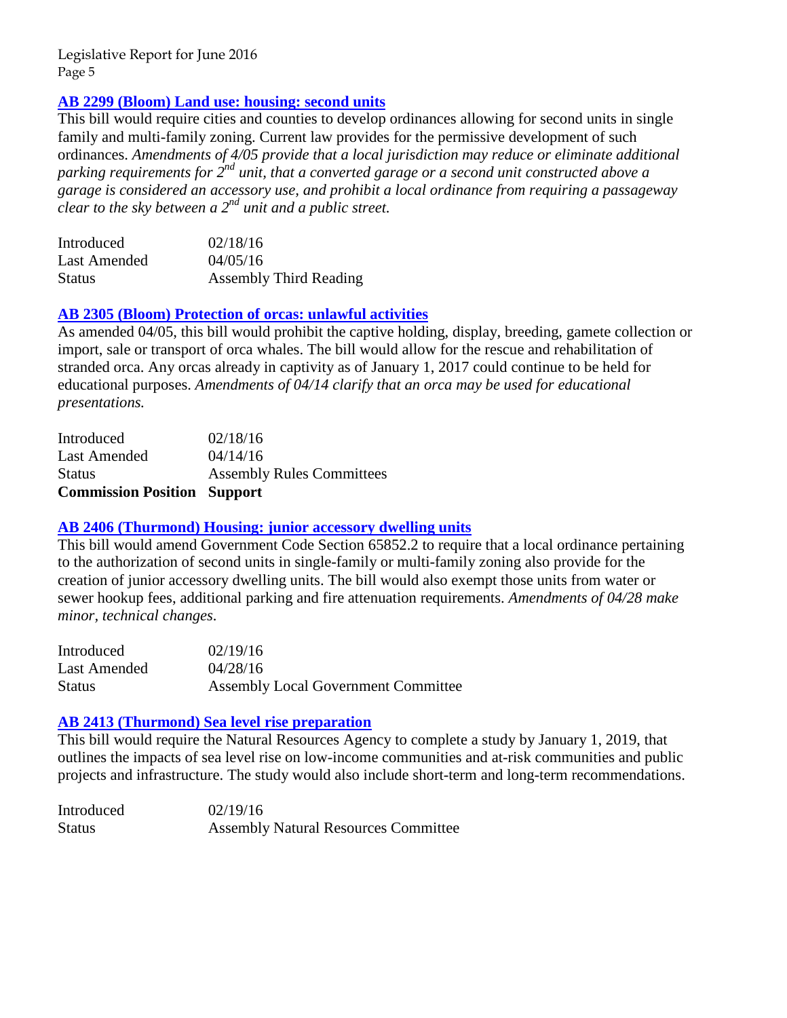## **[AB 2299 \(Bloom\) Land use: housing: second units](http://www.leginfo.ca.gov/pub/15-16/bill/asm/ab_2251-2300/ab_2299_bill_20160405_amended_asm_v98.htm)**

This bill would require cities and counties to develop ordinances allowing for second units in single family and multi-family zoning. Current law provides for the permissive development of such ordinances. *Amendments of 4/05 provide that a local jurisdiction may reduce or eliminate additional parking requirements for 2nd unit, that a converted garage or a second unit constructed above a garage is considered an accessory use, and prohibit a local ordinance from requiring a passageway clear to the sky between a 2nd unit and a public street.* 

| Introduced    | 02/18/16                      |
|---------------|-------------------------------|
| Last Amended  | 04/05/16                      |
| <b>Status</b> | <b>Assembly Third Reading</b> |

#### **[AB 2305 \(Bloom\) Protection of orcas: unlawful activities](http://www.leginfo.ca.gov/pub/15-16/bill/asm/ab_2301-2350/ab_2305_bill_20160414_amended_asm_v96.htm)**

As amended 04/05, this bill would prohibit the captive holding, display, breeding, gamete collection or import, sale or transport of orca whales. The bill would allow for the rescue and rehabilitation of stranded orca. Any orcas already in captivity as of January 1, 2017 could continue to be held for educational purposes. *Amendments of 04/14 clarify that an orca may be used for educational presentations.* 

| <b>Commission Position Support</b> |                                  |
|------------------------------------|----------------------------------|
| <b>Status</b>                      | <b>Assembly Rules Committees</b> |
| <b>Last Amended</b>                | 04/14/16                         |
| Introduced                         | 02/18/16                         |

#### **[AB 2406 \(Thurmond\) Housing: junior accessory dwelling units](http://www.leginfo.ca.gov/pub/15-16/bill/asm/ab_2401-2450/ab_2406_bill_20160428_amended_asm_v97.htm)**

This bill would amend Government Code Section 65852.2 to require that a local ordinance pertaining to the authorization of second units in single-family or multi-family zoning also provide for the creation of junior accessory dwelling units. The bill would also exempt those units from water or sewer hookup fees, additional parking and fire attenuation requirements. *Amendments of 04/28 make minor, technical changes.* 

| Introduced    | 02/19/16                                   |
|---------------|--------------------------------------------|
| Last Amended  | 04/28/16                                   |
| <b>Status</b> | <b>Assembly Local Government Committee</b> |

#### **[AB 2413 \(Thurmond\) Sea level rise preparation](http://www.leginfo.ca.gov/pub/15-16/bill/asm/ab_2251-2300/ab_2299_bill_20160405_amended_asm_v98.htm)**

This bill would require the Natural Resources Agency to complete a study by January 1, 2019, that outlines the impacts of sea level rise on low-income communities and at-risk communities and public projects and infrastructure. The study would also include short-term and long-term recommendations.

Introduced 02/19/16 Status Assembly Natural Resources Committee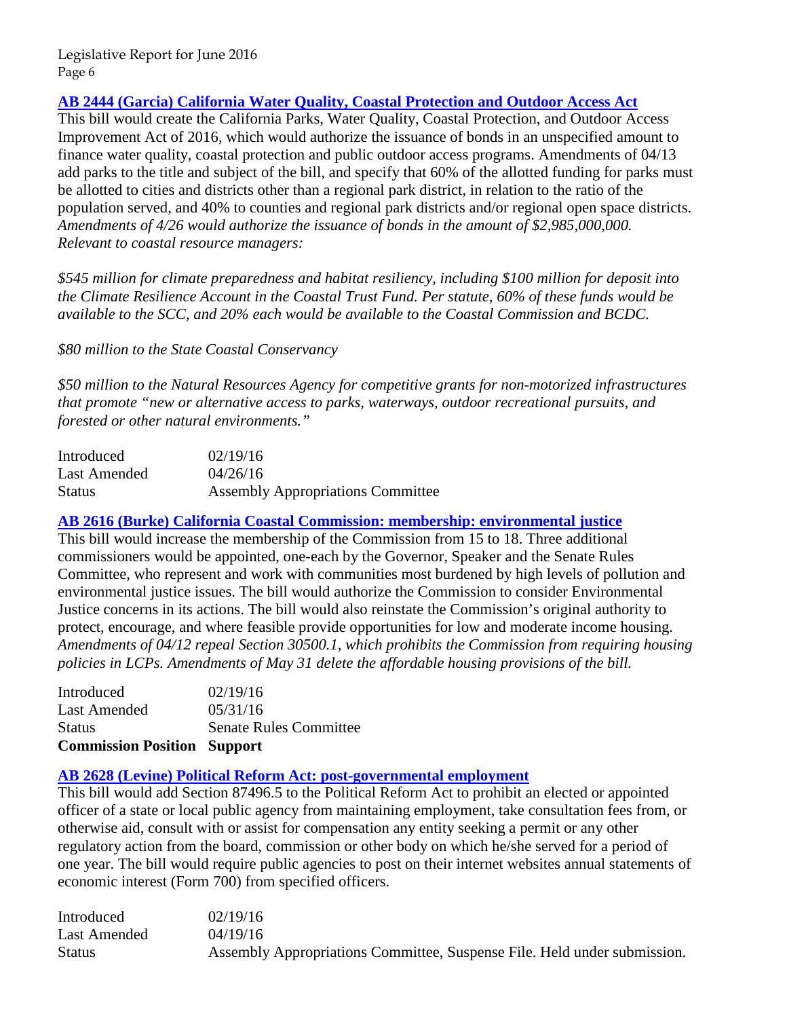**[AB 2444 \(Garcia\) California Water Quality, Coastal Protection and Outdoor Access Act](http://www.leginfo.ca.gov/pub/15-16/bill/asm/ab_2401-2450/ab_2444_bill_20160426_amended_asm_v96.htm)**

This bill would create the California Parks, Water Quality, Coastal Protection, and Outdoor Access Improvement Act of 2016, which would authorize the issuance of bonds in an unspecified amount to finance water quality, coastal protection and public outdoor access programs. Amendments of 04/13 add parks to the title and subject of the bill, and specify that 60% of the allotted funding for parks must be allotted to cities and districts other than a regional park district, in relation to the ratio of the population served, and 40% to counties and regional park districts and/or regional open space districts. *Amendments of 4/26 would authorize the issuance of bonds in the amount of \$2,985,000,000. Relevant to coastal resource managers:* 

*\$545 million for climate preparedness and habitat resiliency, including \$100 million for deposit into the Climate Resilience Account in the Coastal Trust Fund. Per statute, 60% of these funds would be available to the SCC, and 20% each would be available to the Coastal Commission and BCDC.* 

*\$80 million to the State Coastal Conservancy* 

*\$50 million to the Natural Resources Agency for competitive grants for non-motorized infrastructures that promote "new or alternative access to parks, waterways, outdoor recreational pursuits, and forested or other natural environments."* 

| Introduced    | 02/19/16                                 |
|---------------|------------------------------------------|
| Last Amended  | 04/26/16                                 |
| <b>Status</b> | <b>Assembly Appropriations Committee</b> |

**[AB 2616 \(Burke\) California Coastal Commission: membership: environmental justice](http://www.leginfo.ca.gov/pub/15-16/bill/asm/ab_2601-2650/ab_2616_bill_20160531_amended_asm_v97.htm)**

This bill would increase the membership of the Commission from 15 to 18. Three additional commissioners would be appointed, one-each by the Governor, Speaker and the Senate Rules Committee, who represent and work with communities most burdened by high levels of pollution and environmental justice issues. The bill would authorize the Commission to consider Environmental Justice concerns in its actions. The bill would also reinstate the Commission's original authority to protect, encourage, and where feasible provide opportunities for low and moderate income housing. *Amendments of 04/12 repeal Section 30500.1, which prohibits the Commission from requiring housing policies in LCPs. Amendments of May 31 delete the affordable housing provisions of the bill.* 

| <b>Commission Position Support</b> |
|------------------------------------|
| <b>Senate Rules Committee</b>      |
| 05/31/16                           |
| 02/19/16                           |
|                                    |

#### **[AB 2628 \(Levine\) Political Reform Act: post-governmental employment](http://www.leginfo.ca.gov/pub/15-16/bill/asm/ab_2601-2650/ab_2628_bill_20160419_amended_asm_v96.htm)**

This bill would add Section 87496.5 to the Political Reform Act to prohibit an elected or appointed officer of a state or local public agency from maintaining employment, take consultation fees from, or otherwise aid, consult with or assist for compensation any entity seeking a permit or any other regulatory action from the board, commission or other body on which he/she served for a period of one year. The bill would require public agencies to post on their internet websites annual statements of economic interest (Form 700) from specified officers.

| Introduced    | 02/19/16                                                                 |
|---------------|--------------------------------------------------------------------------|
| Last Amended  | 04/19/16                                                                 |
| <b>Status</b> | Assembly Appropriations Committee, Suspense File. Held under submission. |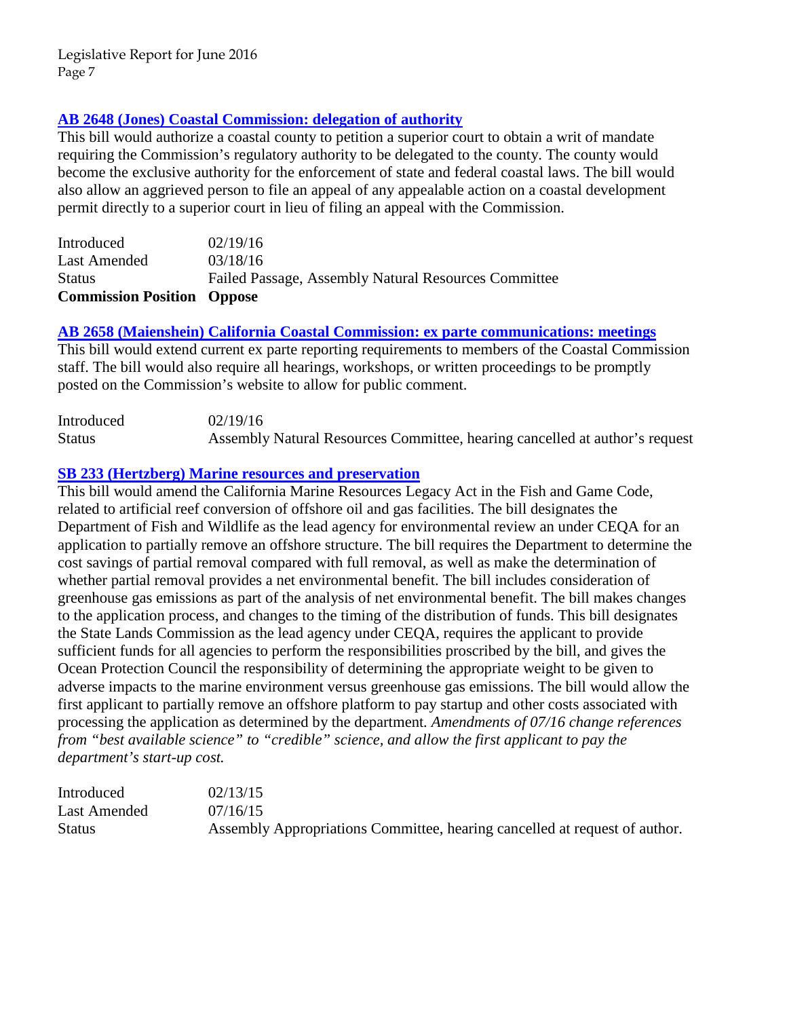### **[AB 2648 \(Jones\) Coastal Commission: delegation of authority](http://www.leginfo.ca.gov/pub/15-16/bill/asm/ab_2601-2650/ab_2648_bill_20160318_amended_asm_v98.htm)**

This bill would authorize a coastal county to petition a superior court to obtain a writ of mandate requiring the Commission's regulatory authority to be delegated to the county. The county would become the exclusive authority for the enforcement of state and federal coastal laws. The bill would also allow an aggrieved person to file an appeal of any appealable action on a coastal development permit directly to a superior court in lieu of filing an appeal with the Commission.

| <b>Commission Position Oppose</b> |                                                      |
|-----------------------------------|------------------------------------------------------|
| <b>Status</b>                     | Failed Passage, Assembly Natural Resources Committee |
| Last Amended                      | 03/18/16                                             |
| Introduced                        | 02/19/16                                             |

**[AB 2658 \(Maienshein\) California Coastal Commission: ex parte communications: meetings](http://www.leginfo.ca.gov/pub/15-16/bill/asm/ab_2651-2700/ab_2658_bill_20160219_introduced.pdf)**

This bill would extend current ex parte reporting requirements to members of the Coastal Commission staff. The bill would also require all hearings, workshops, or written proceedings to be promptly posted on the Commission's website to allow for public comment.

| Introduced    | 02/19/16                                                                    |
|---------------|-----------------------------------------------------------------------------|
| <b>Status</b> | Assembly Natural Resources Committee, hearing cancelled at author's request |

### **SB 233 (Hertzberg) [Marine resources and preservation](http://www.leginfo.ca.gov/pub/15-16/bill/sen/sb_0201-0250/sb_233_bill_20150716_amended_asm_v94.htm)**

This bill would amend the California Marine Resources Legacy Act in the Fish and Game Code, related to artificial reef conversion of offshore oil and gas facilities. The bill designates the Department of Fish and Wildlife as the lead agency for environmental review an under CEQA for an application to partially remove an offshore structure. The bill requires the Department to determine the cost savings of partial removal compared with full removal, as well as make the determination of whether partial removal provides a net environmental benefit. The bill includes consideration of greenhouse gas emissions as part of the analysis of net environmental benefit. The bill makes changes to the application process, and changes to the timing of the distribution of funds. This bill designates the State Lands Commission as the lead agency under CEQA, requires the applicant to provide sufficient funds for all agencies to perform the responsibilities proscribed by the bill, and gives the Ocean Protection Council the responsibility of determining the appropriate weight to be given to adverse impacts to the marine environment versus greenhouse gas emissions. The bill would allow the first applicant to partially remove an offshore platform to pay startup and other costs associated with processing the application as determined by the department*. Amendments of 07/16 change references from "best available science" to "credible" science, and allow the first applicant to pay the department's start-up cost.* 

| Introduced    | 02/13/15                                                                   |
|---------------|----------------------------------------------------------------------------|
| Last Amended  | 07/16/15                                                                   |
| <b>Status</b> | Assembly Appropriations Committee, hearing cancelled at request of author. |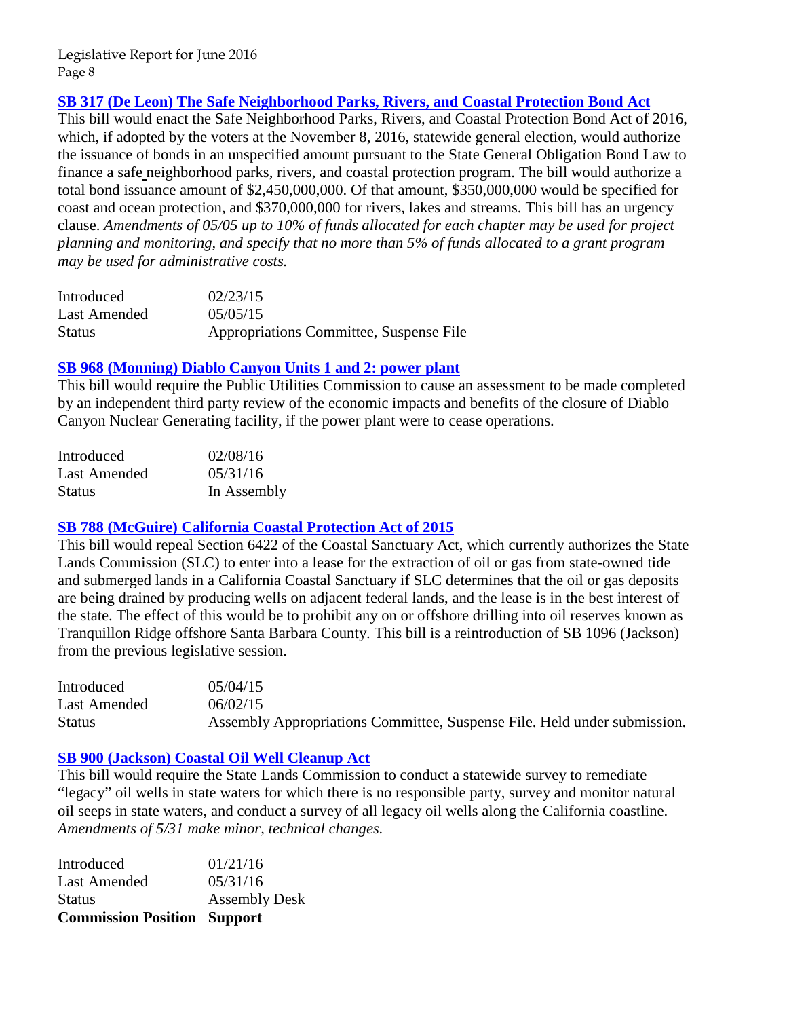### **[SB 317 \(De Leon\) The Safe Neighborhood Parks, Rivers, and Coastal Protection Bond Act](http://www.leginfo.ca.gov/pub/15-16/bill/sen/sb_0301-0350/sb_317_bill_20150505_amended_sen_v96.htm)**

This bill would enact the Safe Neighborhood Parks, Rivers, and Coastal Protection Bond Act of 2016, which, if adopted by the voters at the November 8, 2016, statewide general election, would authorize the issuance of bonds in an unspecified amount pursuant to the State General Obligation Bond Law to finance a safe neighborhood parks, rivers, and coastal protection program. The bill would authorize a total bond issuance amount of \$2,450,000,000. Of that amount, \$350,000,000 would be specified for coast and ocean protection, and \$370,000,000 for rivers, lakes and streams. This bill has an urgency clause. *Amendments of 05/05 up to 10% of funds allocated for each chapter may be used for project planning and monitoring, and specify that no more than 5% of funds allocated to a grant program may be used for administrative costs.* 

| Introduced    | 02/23/15                                |
|---------------|-----------------------------------------|
| Last Amended  | 05/05/15                                |
| <b>Status</b> | Appropriations Committee, Suspense File |

#### **[SB 968 \(Monning\) Diablo Canyon Units 1 and 2: power plant](http://www.leginfo.ca.gov/pub/15-16/bill/sen/sb_0951-1000/sb_968_bill_20160531_amended_sen_v96.htm)**

This bill would require the Public Utilities Commission to cause an assessment to be made completed by an independent third party review of the economic impacts and benefits of the closure of Diablo Canyon Nuclear Generating facility, if the power plant were to cease operations.

| Introduced          | 02/08/16    |
|---------------------|-------------|
| <b>Last Amended</b> | 05/31/16    |
| <b>Status</b>       | In Assembly |

#### **[SB 788 \(McGuire\) California Coastal Protection Act of 2015](http://www.leginfo.ca.gov/pub/15-16/bill/sen/sb_0751-0800/sb_788_bill_20150602_amended_sen_v97.htm)**

This bill would repeal Section 6422 of the Coastal Sanctuary Act, which currently authorizes the State Lands Commission (SLC) to enter into a lease for the extraction of oil or gas from state-owned tide and submerged lands in a California Coastal Sanctuary if SLC determines that the oil or gas deposits are being drained by producing wells on adjacent federal lands, and the lease is in the best interest of the state. The effect of this would be to prohibit any on or offshore drilling into oil reserves known as Tranquillon Ridge offshore Santa Barbara County. This bill is a reintroduction of SB 1096 (Jackson) from the previous legislative session.

| Introduced    | 0.5/0.4/15                                                               |
|---------------|--------------------------------------------------------------------------|
| Last Amended  | 06/02/15                                                                 |
| <b>Status</b> | Assembly Appropriations Committee, Suspense File. Held under submission. |

#### **[SB 900 \(Jackson\) Coastal Oil Well Cleanup Act](http://www.leginfo.ca.gov/pub/15-16/bill/sen/sb_0851-0900/sb_900_bill_20160531_amended_sen_v97.htm)**

This bill would require the State Lands Commission to conduct a statewide survey to remediate "legacy" oil wells in state waters for which there is no responsible party, survey and monitor natural oil seeps in state waters, and conduct a survey of all legacy oil wells along the California coastline. *Amendments of 5/31 make minor, technical changes.* 

| <b>Commission Position Support</b> |
|------------------------------------|
| <b>Assembly Desk</b>               |
| 05/31/16                           |
| 01/21/16                           |
|                                    |